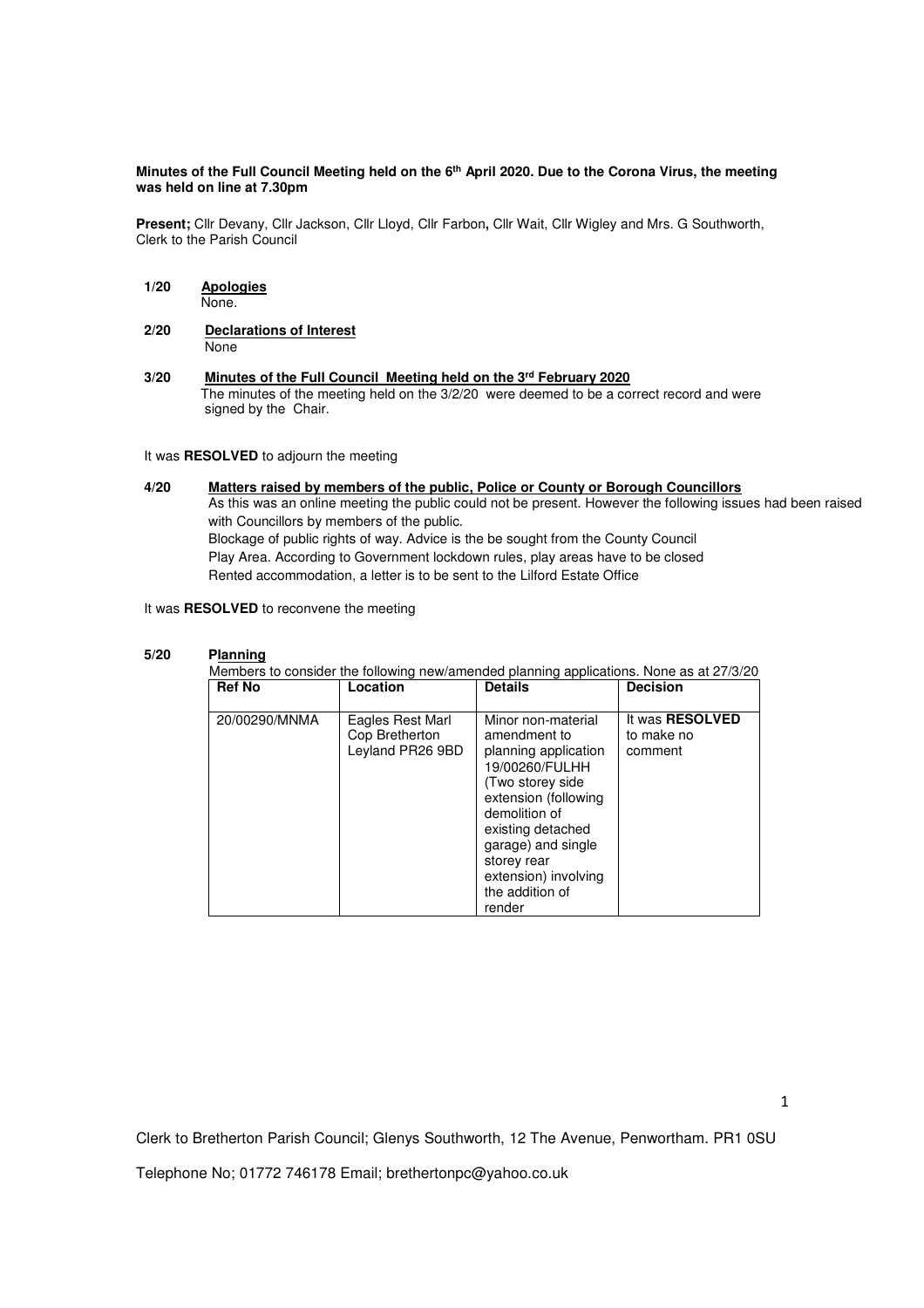#### **Minutes of the Full Council Meeting held on the 6th April 2020. Due to the Corona Virus, the meeting was held on line at 7.30pm**

**Present;** Cllr Devany, Cllr Jackson, Cllr Lloyd, Cllr Farbon**,** Cllr Wait, Cllr Wigley and Mrs. G Southworth, Clerk to the Parish Council

- **1/20 Apologies** None.
- **2/20 Declarations of Interest** None
- **3/20 Minutes of the Full Council Meeting held on the 3rd February 2020** The minutes of the meeting held on the 3/2/20 were deemed to be a correct record and were signed by the Chair.

It was **RESOLVED** to adjourn the meeting

**4/20 Matters raised by members of the public, Police or County or Borough Councillors**  As this was an online meeting the public could not be present. However the following issues had been raised with Councillors by members of the public. Blockage of public rights of way. Advice is the be sought from the County Council Play Area. According to Government lockdown rules, play areas have to be closed Rented accommodation, a letter is to be sent to the Lilford Estate Office

It was **RESOLVED** to reconvene the meeting

### **5/20 Planning**

**Members to consider the following new/amended planning applications. None as at 27/3/20**<br>**Ref No discuss Location Details Decision Location** 20/00290/MNMA Eagles Rest Marl Cop Bretherton Leyland PR26 9BD Minor non-material amendment to planning application 19/00260/FULHH (Two storey side extension (following demolition of existing detached garage) and single storey rear extension) involving the addition of render It was **RESOLVED** to make no comment

Clerk to Bretherton Parish Council; Glenys Southworth, 12 The Avenue, Penwortham. PR1 0SU

Telephone No; 01772 746178 Email; brethertonpc@yahoo.co.uk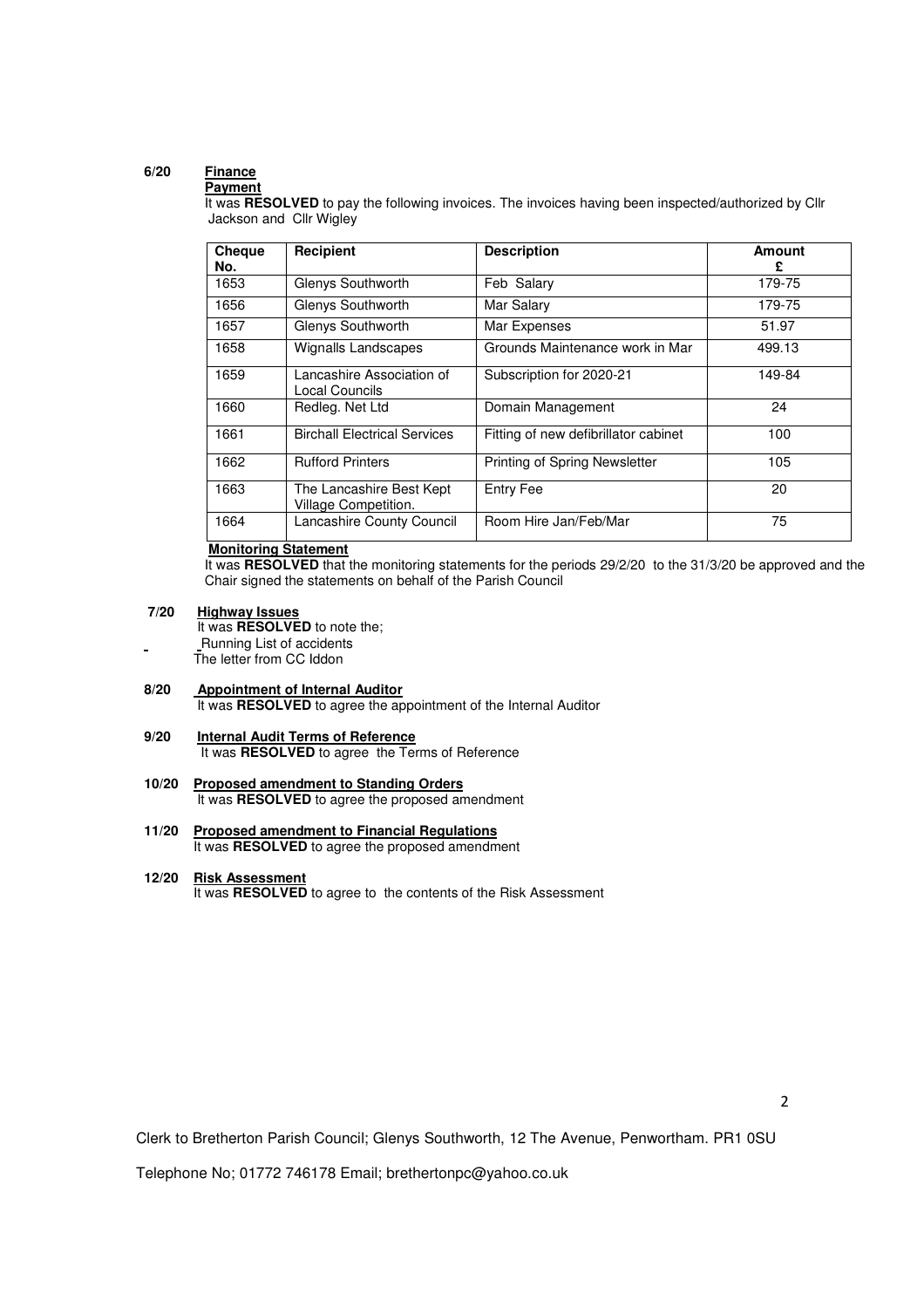# **6/20 Finance**

### **Payment**

It was **RESOLVED** to pay the following invoices. The invoices having been inspected/authorized by Cllr Jackson and Cllr Wigley

| <b>Cheque</b><br>No. | Recipient                                        | <b>Description</b>                   | Amount<br>£ |
|----------------------|--------------------------------------------------|--------------------------------------|-------------|
| 1653                 | Glenys Southworth                                | Feb Salary                           | 179-75      |
| 1656                 | Glenys Southworth                                | Mar Salary                           | 179-75      |
| 1657                 | Glenys Southworth                                | Mar Expenses                         | 51.97       |
| 1658                 | Wignalls Landscapes                              | Grounds Maintenance work in Mar      | 499.13      |
| 1659                 | Lancashire Association of<br>Local Councils      | Subscription for 2020-21             | 149-84      |
| 1660                 | Redleg. Net Ltd                                  | Domain Management                    | 24          |
| 1661                 | <b>Birchall Electrical Services</b>              | Fitting of new defibrillator cabinet | 100         |
| 1662                 | <b>Rufford Printers</b>                          | Printing of Spring Newsletter        | 105         |
| 1663                 | The Lancashire Best Kept<br>Village Competition. | Entry Fee                            | 20          |
| 1664                 | Lancashire County Council                        | Room Hire Jan/Feb/Mar                | 75          |

### **Monitoring Statement**

It was **RESOLVED** that the monitoring statements for the periods 29/2/20 to the 31/3/20 be approved and the Chair signed the statements on behalf of the Parish Council

## **7/20 Highway Issues**

 It was **RESOLVED** to note the; Running List of accidents The letter from CC Iddon

- $8/20$ **Appointment of Internal Auditor** It was **RESOLVED** to agree the appointment of the Internal Auditor
- **9/20 Internal Audit Terms of Reference**  It was **RESOLVED** to agree the Terms of Reference
- **10/20 Proposed amendment to Standing Orders** It was **RESOLVED** to agree the proposed amendment
- **11/20 Proposed amendment to Financial Regulations** It was **RESOLVED** to agree the proposed amendment

### **12/20 Risk Assessment**

It was **RESOLVED** to agree to the contents of the Risk Assessment

Clerk to Bretherton Parish Council; Glenys Southworth, 12 The Avenue, Penwortham. PR1 0SU

Telephone No; 01772 746178 Email; brethertonpc@yahoo.co.uk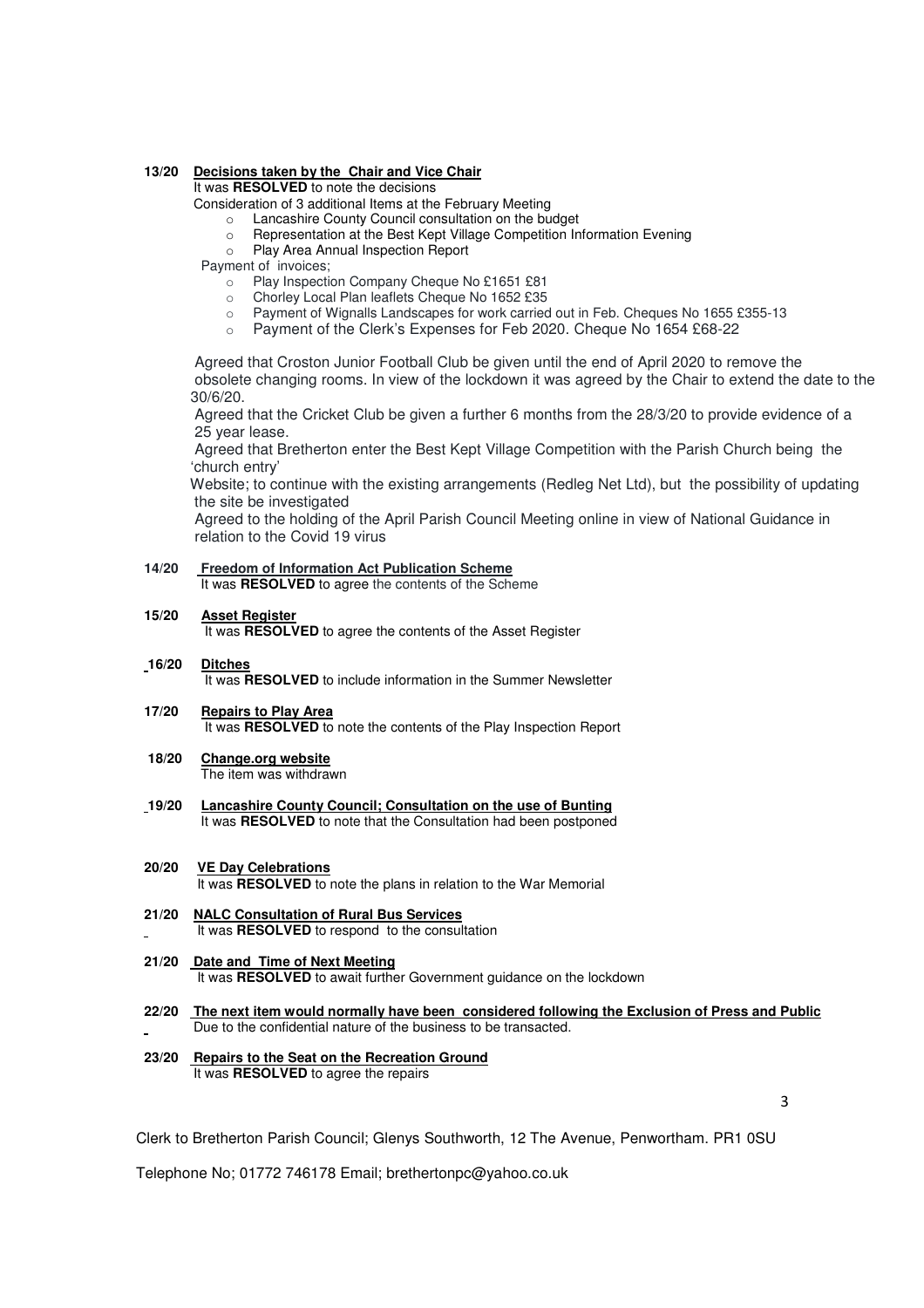## **13/20 Decisions taken by the Chair and Vice Chair**

It was **RESOLVED** to note the decisions

Consideration of 3 additional Items at the February Meeting

- o Lancashire County Council consultation on the budget
- o Representation at the Best Kept Village Competition Information Evening
- o Play Area Annual Inspection Report

Payment of invoices;

- o Play Inspection Company Cheque No £1651 £81
- o Chorley Local Plan leaflets Cheque No 1652 £35
- o Payment of Wignalls Landscapes for work carried out in Feb. Cheques No 1655 £355-13
- o Payment of the Clerk's Expenses for Feb 2020. Cheque No 1654 £68-22

 Agreed that Croston Junior Football Club be given until the end of April 2020 to remove the obsolete changing rooms. In view of the lockdown it was agreed by the Chair to extend the date to the 30/6/20.

 Agreed that the Cricket Club be given a further 6 months from the 28/3/20 to provide evidence of a 25 year lease.

 Agreed that Bretherton enter the Best Kept Village Competition with the Parish Church being the 'church entry'

 Website; to continue with the existing arrangements (Redleg Net Ltd), but the possibility of updating the site be investigated

 Agreed to the holding of the April Parish Council Meeting online in view of National Guidance in relation to the Covid 19 virus

**14/20 Freedom of Information Act Publication Scheme**  It was **RESOLVED** to agree the contents of the Scheme

### **15/20 Asset Register**

It was **RESOLVED** to agree the contents of the Asset Register

#### **16/20 Ditches** It was **RESOLVED** to include information in the Summer Newsletter

- **17/20 Repairs to Play Area**  It was **RESOLVED** to note the contents of the Play Inspection Report
- **18/20 Change.org website** The item was withdrawn
- **19/20 Lancashire County Council; Consultation on the use of Bunting**  It was **RESOLVED** to note that the Consultation had been postponed
- **20/20 VE Day Celebrations**  It was **RESOLVED** to note the plans in relation to the War Memorial
- **21/20 NALC Consultation of Rural Bus Services** It was **RESOLVED** to respond to the consultation
- **21/20 Date and Time of Next Meeting** It was **RESOLVED** to await further Government guidance on the lockdown
- **22/20 The next item would normally have been considered following the Exclusion of Press and Public** Due to the confidential nature of the business to be transacted.
- **23/20 Repairs to the Seat on the Recreation Ground**  It was **RESOLVED** to agree the repairs

3

Clerk to Bretherton Parish Council; Glenys Southworth, 12 The Avenue, Penwortham. PR1 0SU

Telephone No; 01772 746178 Email; brethertonpc@yahoo.co.uk